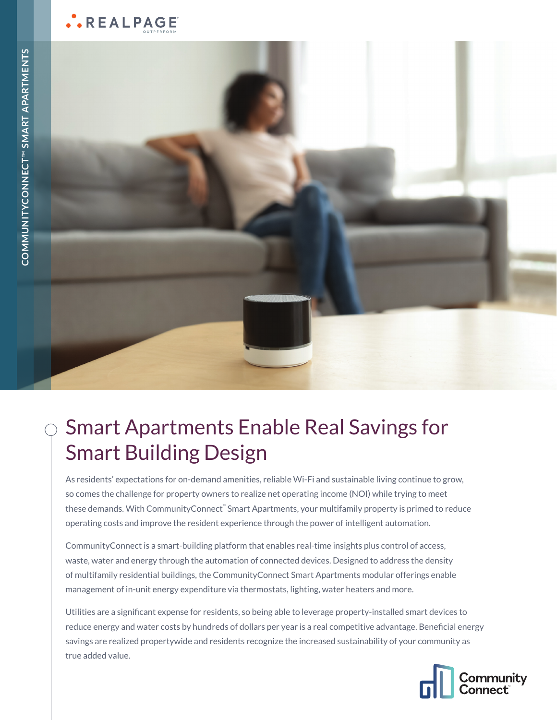## ..REALPAGE



# Smart Apartments Enable Real Savings for Smart Building Design

As residents' expectations for on-demand amenities, reliable Wi-Fi and sustainable living continue to grow, so comes the challenge for property owners to realize net operating income (NOI) while trying to meet these demands. With CommunityConnect™ Smart Apartments, your multifamily property is primed to reduce operating costs and improve the resident experience through the power of intelligent automation.

CommunityConnect is a smart-building platform that enables real-time insights plus control of access, waste, water and energy through the automation of connected devices. Designed to address the density of multifamily residential buildings, the CommunityConnect Smart Apartments modular offerings enable management of in-unit energy expenditure via thermostats, lighting, water heaters and more.

Utilities are a significant expense for residents, so being able to leverage property-installed smart devices to reduce energy and water costs by hundreds of dollars per year is a real competitive advantage. Beneficial energy savings are realized propertywide and residents recognize the increased sustainability of your community as true added value.